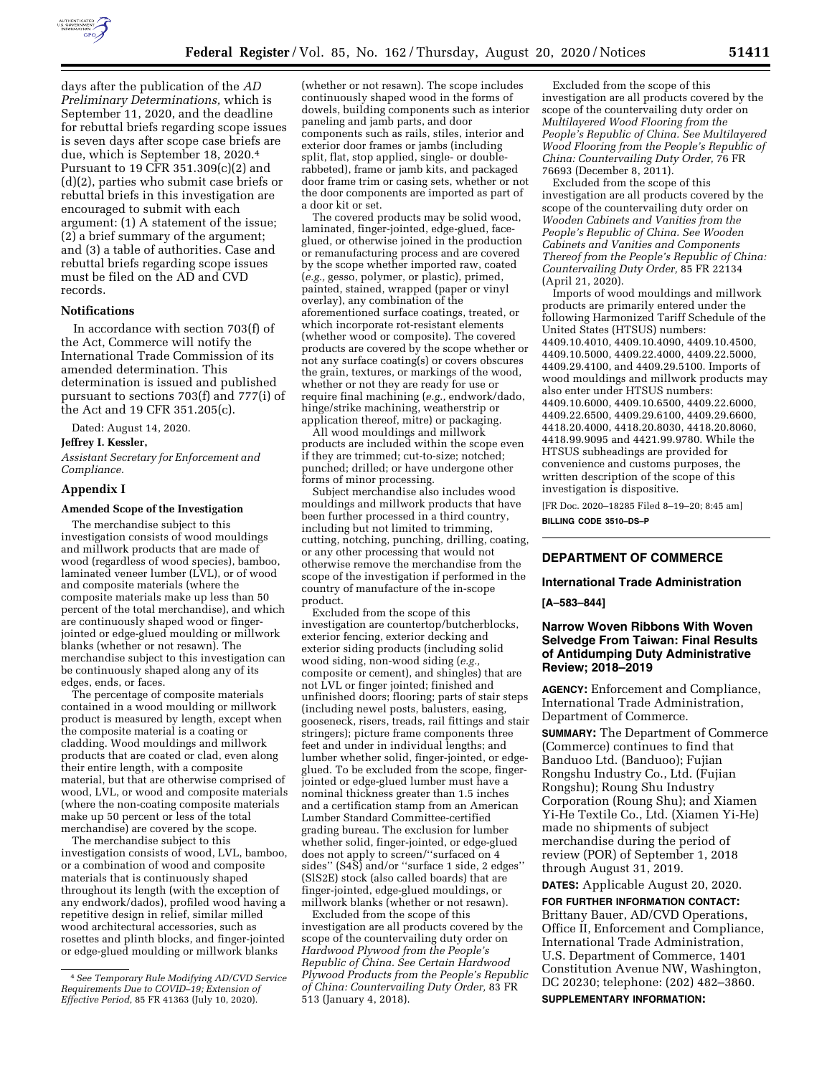

days after the publication of the *AD Preliminary Determinations,* which is September 11, 2020, and the deadline for rebuttal briefs regarding scope issues is seven days after scope case briefs are due, which is September 18, 2020.4 Pursuant to 19 CFR 351.309(c)(2) and (d)(2), parties who submit case briefs or rebuttal briefs in this investigation are encouraged to submit with each argument: (1) A statement of the issue; (2) a brief summary of the argument; and (3) a table of authorities. Case and rebuttal briefs regarding scope issues must be filed on the AD and CVD records.

#### **Notifications**

In accordance with section 703(f) of the Act, Commerce will notify the International Trade Commission of its amended determination. This determination is issued and published pursuant to sections 703(f) and 777(i) of the Act and 19 CFR 351.205(c).

Dated: August 14, 2020.

**Jeffrey I. Kessler,** 

*Assistant Secretary for Enforcement and Compliance.* 

#### **Appendix I**

#### **Amended Scope of the Investigation**

The merchandise subject to this investigation consists of wood mouldings and millwork products that are made of wood (regardless of wood species), bamboo, laminated veneer lumber (LVL), or of wood and composite materials (where the composite materials make up less than 50 percent of the total merchandise), and which are continuously shaped wood or fingerjointed or edge-glued moulding or millwork blanks (whether or not resawn). The merchandise subject to this investigation can be continuously shaped along any of its edges, ends, or faces.

The percentage of composite materials contained in a wood moulding or millwork product is measured by length, except when the composite material is a coating or cladding. Wood mouldings and millwork products that are coated or clad, even along their entire length, with a composite material, but that are otherwise comprised of wood, LVL, or wood and composite materials (where the non-coating composite materials make up 50 percent or less of the total merchandise) are covered by the scope.

The merchandise subject to this investigation consists of wood, LVL, bamboo, or a combination of wood and composite materials that is continuously shaped throughout its length (with the exception of any endwork/dados), profiled wood having a repetitive design in relief, similar milled wood architectural accessories, such as rosettes and plinth blocks, and finger-jointed or edge-glued moulding or millwork blanks

(whether or not resawn). The scope includes continuously shaped wood in the forms of dowels, building components such as interior paneling and jamb parts, and door components such as rails, stiles, interior and exterior door frames or jambs (including split, flat, stop applied, single- or doublerabbeted), frame or jamb kits, and packaged door frame trim or casing sets, whether or not the door components are imported as part of a door kit or set.

The covered products may be solid wood, laminated, finger-jointed, edge-glued, faceglued, or otherwise joined in the production or remanufacturing process and are covered by the scope whether imported raw, coated (*e.g.,* gesso, polymer, or plastic), primed, painted, stained, wrapped (paper or vinyl overlay), any combination of the aforementioned surface coatings, treated, or which incorporate rot-resistant elements (whether wood or composite). The covered products are covered by the scope whether or not any surface coating(s) or covers obscures the grain, textures, or markings of the wood, whether or not they are ready for use or require final machining (*e.g.,* endwork/dado, hinge/strike machining, weatherstrip or application thereof, mitre) or packaging.

All wood mouldings and millwork products are included within the scope even if they are trimmed; cut-to-size; notched; punched; drilled; or have undergone other forms of minor processing.

Subject merchandise also includes wood mouldings and millwork products that have been further processed in a third country, including but not limited to trimming, cutting, notching, punching, drilling, coating, or any other processing that would not otherwise remove the merchandise from the scope of the investigation if performed in the country of manufacture of the in-scope product.

Excluded from the scope of this investigation are countertop/butcherblocks, exterior fencing, exterior decking and exterior siding products (including solid wood siding, non-wood siding (*e.g.,*  composite or cement), and shingles) that are not LVL or finger jointed; finished and unfinished doors; flooring; parts of stair steps (including newel posts, balusters, easing, gooseneck, risers, treads, rail fittings and stair stringers); picture frame components three feet and under in individual lengths; and lumber whether solid, finger-jointed, or edgeglued. To be excluded from the scope, fingerjointed or edge-glued lumber must have a nominal thickness greater than 1.5 inches and a certification stamp from an American Lumber Standard Committee-certified grading bureau. The exclusion for lumber whether solid, finger-jointed, or edge-glued does not apply to screen/''surfaced on 4 sides'' (S4S) and/or ''surface 1 side, 2 edges'' (SlS2E) stock (also called boards) that are finger-jointed, edge-glued mouldings, or millwork blanks (whether or not resawn).

Excluded from the scope of this investigation are all products covered by the scope of the countervailing duty order on *Hardwood Plywood from the People's Republic of China. See Certain Hardwood Plywood Products from the People's Republic of China: Countervailing Duty Order,* 83 FR 513 (January 4, 2018).

Excluded from the scope of this investigation are all products covered by the scope of the countervailing duty order on *Multilayered Wood Flooring from the People's Republic of China. See Multilayered Wood Flooring from the People's Republic of China: Countervailing Duty Order,* 76 FR 76693 (December 8, 2011).

Excluded from the scope of this investigation are all products covered by the scope of the countervailing duty order on *Wooden Cabinets and Vanities from the People's Republic of China. See Wooden Cabinets and Vanities and Components Thereof from the People's Republic of China: Countervailing Duty Order,* 85 FR 22134 (April 21, 2020).

Imports of wood mouldings and millwork products are primarily entered under the following Harmonized Tariff Schedule of the United States (HTSUS) numbers: 4409.10.4010, 4409.10.4090, 4409.10.4500, 4409.10.5000, 4409.22.4000, 4409.22.5000, 4409.29.4100, and 4409.29.5100. Imports of wood mouldings and millwork products may also enter under HTSUS numbers: 4409.10.6000, 4409.10.6500, 4409.22.6000, 4409.22.6500, 4409.29.6100, 4409.29.6600, 4418.20.4000, 4418.20.8030, 4418.20.8060, 4418.99.9095 and 4421.99.9780. While the HTSUS subheadings are provided for convenience and customs purposes, the written description of the scope of this investigation is dispositive.

[FR Doc. 2020–18285 Filed 8–19–20; 8:45 am] **BILLING CODE 3510–DS–P** 

## **DEPARTMENT OF COMMERCE**

#### **International Trade Administration**

**[A–583–844]** 

## **Narrow Woven Ribbons With Woven Selvedge From Taiwan: Final Results of Antidumping Duty Administrative Review; 2018–2019**

**AGENCY:** Enforcement and Compliance, International Trade Administration, Department of Commerce.

**SUMMARY:** The Department of Commerce (Commerce) continues to find that Banduoo Ltd. (Banduoo); Fujian Rongshu Industry Co., Ltd. (Fujian Rongshu); Roung Shu Industry Corporation (Roung Shu); and Xiamen Yi-He Textile Co., Ltd. (Xiamen Yi-He) made no shipments of subject merchandise during the period of review (POR) of September 1, 2018 through August 31, 2019.

**DATES:** Applicable August 20, 2020.

**FOR FURTHER INFORMATION CONTACT:**  Brittany Bauer, AD/CVD Operations, Office II, Enforcement and Compliance, International Trade Administration, U.S. Department of Commerce, 1401 Constitution Avenue NW, Washington, DC 20230; telephone: (202) 482–3860.

**SUPPLEMENTARY INFORMATION:** 

<sup>4</sup>*See Temporary Rule Modifying AD/CVD Service Requirements Due to COVID–19; Extension of Effective Period,* 85 FR 41363 (July 10, 2020).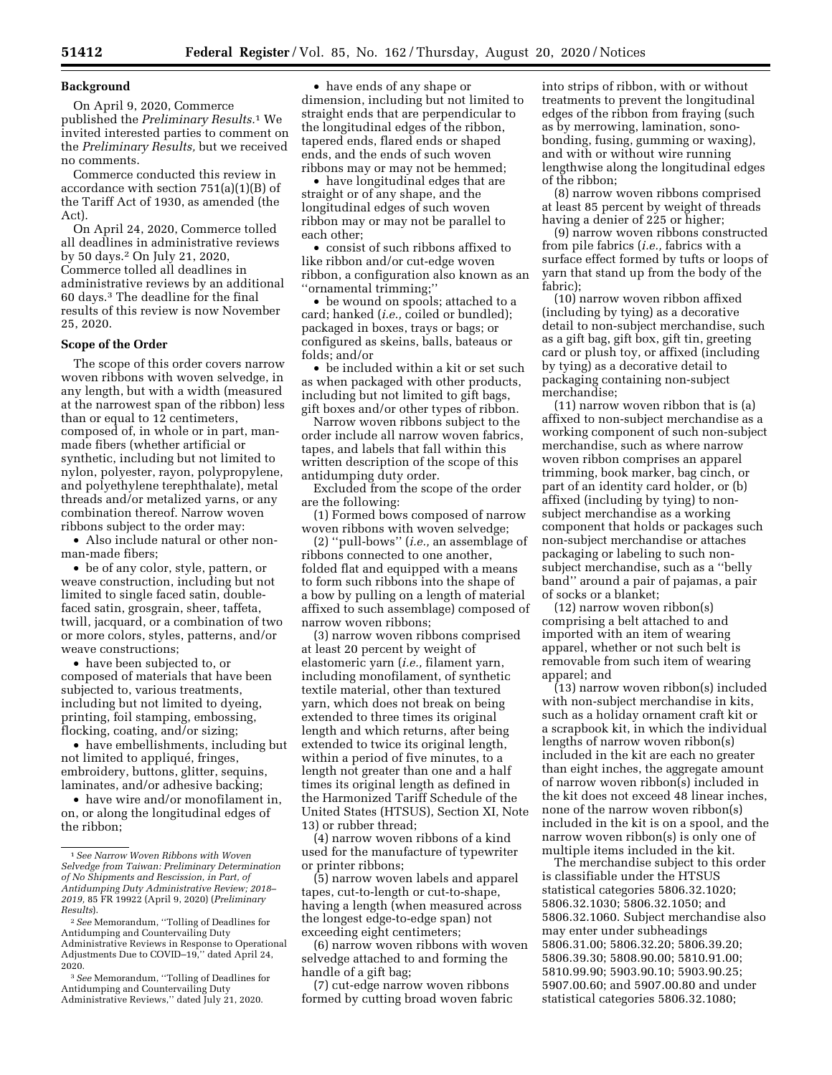## **Background**

On April 9, 2020, Commerce published the *Preliminary Results.*1 We invited interested parties to comment on the *Preliminary Results,* but we received no comments.

Commerce conducted this review in accordance with section 751(a)(1)(B) of the Tariff Act of 1930, as amended (the Act).

On April 24, 2020, Commerce tolled all deadlines in administrative reviews by 50 days.2 On July 21, 2020, Commerce tolled all deadlines in administrative reviews by an additional 60 days.3 The deadline for the final results of this review is now November 25, 2020.

#### **Scope of the Order**

The scope of this order covers narrow woven ribbons with woven selvedge, in any length, but with a width (measured at the narrowest span of the ribbon) less than or equal to 12 centimeters, composed of, in whole or in part, manmade fibers (whether artificial or synthetic, including but not limited to nylon, polyester, rayon, polypropylene, and polyethylene terephthalate), metal threads and/or metalized yarns, or any combination thereof. Narrow woven ribbons subject to the order may:

• Also include natural or other nonman-made fibers;

• be of any color, style, pattern, or weave construction, including but not limited to single faced satin, doublefaced satin, grosgrain, sheer, taffeta, twill, jacquard, or a combination of two or more colors, styles, patterns, and/or weave constructions;

• have been subjected to, or composed of materials that have been subjected to, various treatments, including but not limited to dyeing, printing, foil stamping, embossing, flocking, coating, and/or sizing;

• have embellishments, including but not limited to appliqué, fringes, embroidery, buttons, glitter, sequins, laminates, and/or adhesive backing;

• have wire and/or monofilament in, on, or along the longitudinal edges of the ribbon;

• have ends of any shape or dimension, including but not limited to straight ends that are perpendicular to the longitudinal edges of the ribbon, tapered ends, flared ends or shaped ends, and the ends of such woven ribbons may or may not be hemmed;

• have longitudinal edges that are straight or of any shape, and the longitudinal edges of such woven ribbon may or may not be parallel to each other;

• consist of such ribbons affixed to like ribbon and/or cut-edge woven ribbon, a configuration also known as an ''ornamental trimming;''

• be wound on spools; attached to a card; hanked (*i.e.,* coiled or bundled); packaged in boxes, trays or bags; or configured as skeins, balls, bateaus or folds; and/or

• be included within a kit or set such as when packaged with other products, including but not limited to gift bags, gift boxes and/or other types of ribbon.

Narrow woven ribbons subject to the order include all narrow woven fabrics, tapes, and labels that fall within this written description of the scope of this antidumping duty order.

Excluded from the scope of the order are the following:

(1) Formed bows composed of narrow woven ribbons with woven selvedge;

(2) ''pull-bows'' (*i.e.,* an assemblage of ribbons connected to one another, folded flat and equipped with a means to form such ribbons into the shape of a bow by pulling on a length of material affixed to such assemblage) composed of narrow woven ribbons;

(3) narrow woven ribbons comprised at least 20 percent by weight of elastomeric yarn (*i.e.,* filament yarn, including monofilament, of synthetic textile material, other than textured yarn, which does not break on being extended to three times its original length and which returns, after being extended to twice its original length, within a period of five minutes, to a length not greater than one and a half times its original length as defined in the Harmonized Tariff Schedule of the United States (HTSUS), Section XI, Note 13) or rubber thread;

(4) narrow woven ribbons of a kind used for the manufacture of typewriter or printer ribbons;

(5) narrow woven labels and apparel tapes, cut-to-length or cut-to-shape, having a length (when measured across the longest edge-to-edge span) not exceeding eight centimeters;

(6) narrow woven ribbons with woven selvedge attached to and forming the handle of a gift bag;

(7) cut-edge narrow woven ribbons formed by cutting broad woven fabric

into strips of ribbon, with or without treatments to prevent the longitudinal edges of the ribbon from fraying (such as by merrowing, lamination, sonobonding, fusing, gumming or waxing), and with or without wire running lengthwise along the longitudinal edges of the ribbon;

(8) narrow woven ribbons comprised at least 85 percent by weight of threads having a denier of 225 or higher;

(9) narrow woven ribbons constructed from pile fabrics (*i.e.,* fabrics with a surface effect formed by tufts or loops of yarn that stand up from the body of the fabric);

(10) narrow woven ribbon affixed (including by tying) as a decorative detail to non-subject merchandise, such as a gift bag, gift box, gift tin, greeting card or plush toy, or affixed (including by tying) as a decorative detail to packaging containing non-subject merchandise;

(11) narrow woven ribbon that is (a) affixed to non-subject merchandise as a working component of such non-subject merchandise, such as where narrow woven ribbon comprises an apparel trimming, book marker, bag cinch, or part of an identity card holder, or (b) affixed (including by tying) to nonsubject merchandise as a working component that holds or packages such non-subject merchandise or attaches packaging or labeling to such nonsubject merchandise, such as a ''belly band'' around a pair of pajamas, a pair of socks or a blanket;

(12) narrow woven ribbon(s) comprising a belt attached to and imported with an item of wearing apparel, whether or not such belt is removable from such item of wearing apparel; and

(13) narrow woven ribbon(s) included with non-subject merchandise in kits, such as a holiday ornament craft kit or a scrapbook kit, in which the individual lengths of narrow woven ribbon(s) included in the kit are each no greater than eight inches, the aggregate amount of narrow woven ribbon(s) included in the kit does not exceed 48 linear inches, none of the narrow woven ribbon(s) included in the kit is on a spool, and the narrow woven ribbon(s) is only one of multiple items included in the kit.

The merchandise subject to this order is classifiable under the HTSUS statistical categories 5806.32.1020; 5806.32.1030; 5806.32.1050; and 5806.32.1060. Subject merchandise also may enter under subheadings 5806.31.00; 5806.32.20; 5806.39.20; 5806.39.30; 5808.90.00; 5810.91.00; 5810.99.90; 5903.90.10; 5903.90.25; 5907.00.60; and 5907.00.80 and under statistical categories 5806.32.1080;

<sup>1</sup>*See Narrow Woven Ribbons with Woven Selvedge from Taiwan: Preliminary Determination of No Shipments and Rescission, in Part, of Antidumping Duty Administrative Review; 2018– 2019,* 85 FR 19922 (April 9, 2020) (*Preliminary Results*).

<sup>2</sup>*See* Memorandum, ''Tolling of Deadlines for Antidumping and Countervailing Duty Administrative Reviews in Response to Operational Adjustments Due to COVID–19,'' dated April 24, 2020.

<sup>3</sup>*See* Memorandum, ''Tolling of Deadlines for Antidumping and Countervailing Duty Administrative Reviews," dated July 21, 2020.